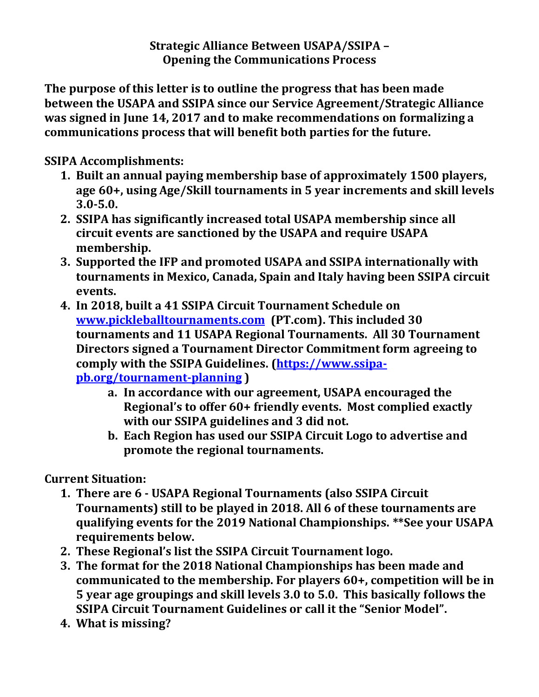**Strategic Alliance Between USAPA/SSIPA – Opening the Communications Process**

**The purpose of this letter is to outline the progress that has been made between the USAPA and SSIPA since our Service Agreement/Strategic Alliance was signed in June 14, 2017 and to make recommendations on formalizing a communications process that will benefit both parties for the future.**

**SSIPA Accomplishments:**

- **1. Built an annual paying membership base of approximately 1500 players, age 60+, using Age/Skill tournaments in 5 year increments and skill levels 3.0-5.0.**
- **2. SSIPA has significantly increased total USAPA membership since all circuit events are sanctioned by the USAPA and require USAPA membership.**
- **3. Supported the IFP and promoted USAPA and SSIPA internationally with tournaments in Mexico, Canada, Spain and Italy having been SSIPA circuit events.**
- **4. In 2018, built a 41 SSIPA Circuit Tournament Schedule on [www.pickleballtournaments.com](http://www.pickleballtournaments.com/) (PT.com). This included 30 tournaments and 11 USAPA Regional Tournaments. All 30 Tournament Directors signed a Tournament Director Commitment form agreeing to comply with the SSIPA Guidelines. [\(https://www.ssipa](https://www.ssipa-pb.org/tournament-planning)[pb.org/tournament-planning](https://www.ssipa-pb.org/tournament-planning) )**
	- **a. In accordance with our agreement, USAPA encouraged the Regional's to offer 60+ friendly events. Most complied exactly with our SSIPA guidelines and 3 did not.**
	- **b. Each Region has used our SSIPA Circuit Logo to advertise and promote the regional tournaments.**

**Current Situation:**

- **1. There are 6 - USAPA Regional Tournaments (also SSIPA Circuit Tournaments) still to be played in 2018. All 6 of these tournaments are qualifying events for the 2019 National Championships. \*\*See your USAPA requirements below.**
- **2. These Regional's list the SSIPA Circuit Tournament logo.**
- **3. The format for the 2018 National Championships has been made and communicated to the membership. For players 60+, competition will be in 5 year age groupings and skill levels 3.0 to 5.0. This basically follows the SSIPA Circuit Tournament Guidelines or call it the "Senior Model".**
- **4. What is missing?**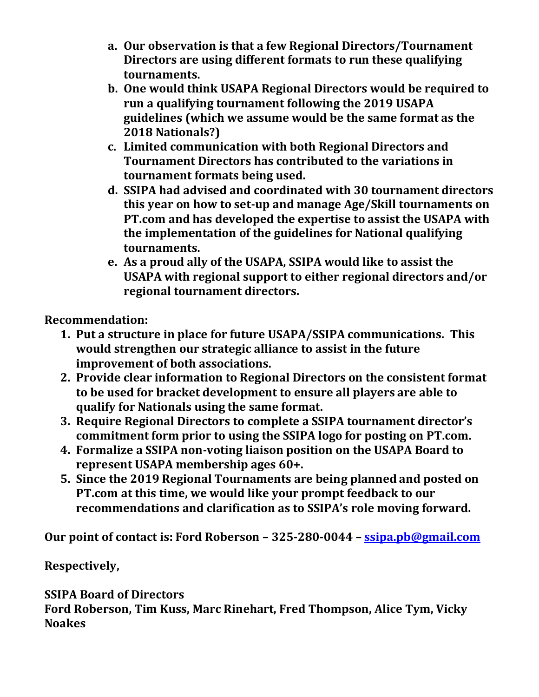- **a. Our observation is that a few Regional Directors/Tournament Directors are using different formats to run these qualifying tournaments.**
- **b. One would think USAPA Regional Directors would be required to run a qualifying tournament following the 2019 USAPA guidelines (which we assume would be the same format as the 2018 Nationals?)**
- **c. Limited communication with both Regional Directors and Tournament Directors has contributed to the variations in tournament formats being used.**
- **d. SSIPA had advised and coordinated with 30 tournament directors this year on how to set-up and manage Age/Skill tournaments on PT.com and has developed the expertise to assist the USAPA with the implementation of the guidelines for National qualifying tournaments.**
- **e. As a proud ally of the USAPA, SSIPA would like to assist the USAPA with regional support to either regional directors and/or regional tournament directors.**

**Recommendation:**

- **1. Put a structure in place for future USAPA/SSIPA communications. This would strengthen our strategic alliance to assist in the future improvement of both associations.**
- **2. Provide clear information to Regional Directors on the consistent format to be used for bracket development to ensure all players are able to qualify for Nationals using the same format.**
- **3. Require Regional Directors to complete a SSIPA tournament director's commitment form prior to using the SSIPA logo for posting on PT.com.**
- **4. Formalize a SSIPA non-voting liaison position on the USAPA Board to represent USAPA membership ages 60+.**
- **5. Since the 2019 Regional Tournaments are being planned and posted on PT.com at this time, we would like your prompt feedback to our recommendations and clarification as to SSIPA's role moving forward.**

**Our point of contact is: Ford Roberson – 325-280-0044 – [ssipa.pb@gmail.com](mailto:ssipa.pb@gmail.com)**

**Respectively,**

**SSIPA Board of Directors Ford Roberson, Tim Kuss, Marc Rinehart, Fred Thompson, Alice Tym, Vicky Noakes**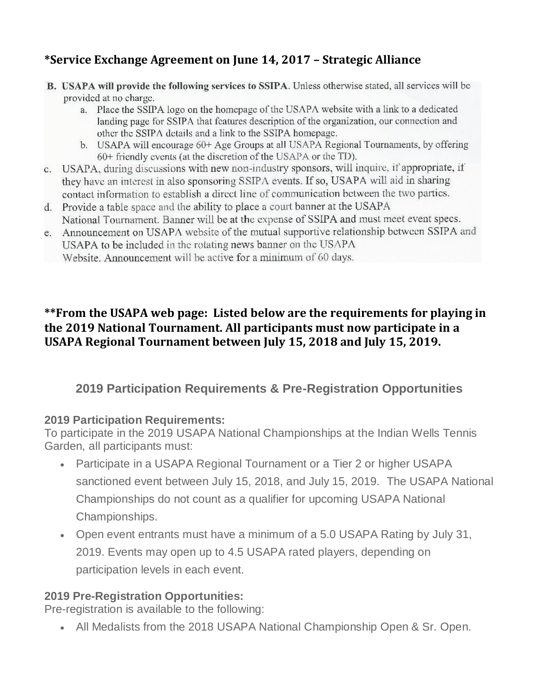# **\*Service Exchange Agreement on June 14, 2017 – Strategic Alliance**

- **B.** USAPA will provide the following services to SSIPA. Unless otherwise stated, all services will be provided at no charge.
	- a. Place the SSIPA logo on the homepage of the USAPA website with a link to a dedicated landing page for SSIPA that features description of the organization, our connection and other the SSIPA details and a link to the SSIPA homepage.
	- b. USAPA will encourage 60+ Age Groups at all USAPA Regional Tournaments, by offering 60+ friendly events (at the discretion of the USAPA or the TD).
- c. USAPA, during discussions with new non-industry sponsors, will inquire, if appropriate, if they have an interest in also sponsoring SSIPA events. If so, USAPA will aid in sharing contact information to establish a direct line of communication between the two partics.
- d. Provide a table space and the ability to place a court banner at the USAPA National Tournament. Banner will be at the expense of SSIPA and must meet event specs.
- e. Announcement on USAPA website of the mutual supportive relationship between SSIPA and USAPA to be included in the rotating news banner on the USAPA Website. Announcement will be active for a minimum of 60 days.

### **\*\*From the USAPA web page: Listed below are the requirements for playing in the 2019 National Tournament. All participants must now participate in a USAPA Regional Tournament between July 15, 2018 and July 15, 2019.**

# **2019 Participation Requirements & Pre-Registration Opportunities**

#### **2019 Participation Requirements:**

To participate in the 2019 USAPA National Championships at the Indian Wells Tennis Garden, all participants must:

- Participate in a USAPA Regional Tournament or a Tier 2 or higher USAPA sanctioned event between July 15, 2018, and July 15, 2019. The USAPA National Championships do not count as a qualifier for upcoming USAPA National Championships.
- Open event entrants must have a minimum of a 5.0 USAPA Rating by July 31, 2019. Events may open up to 4.5 USAPA rated players, depending on participation levels in each event.

#### **2019 Pre-Registration Opportunities:**

Pre-registration is available to the following:

• All Medalists from the 2018 USAPA National Championship Open & Sr. Open.